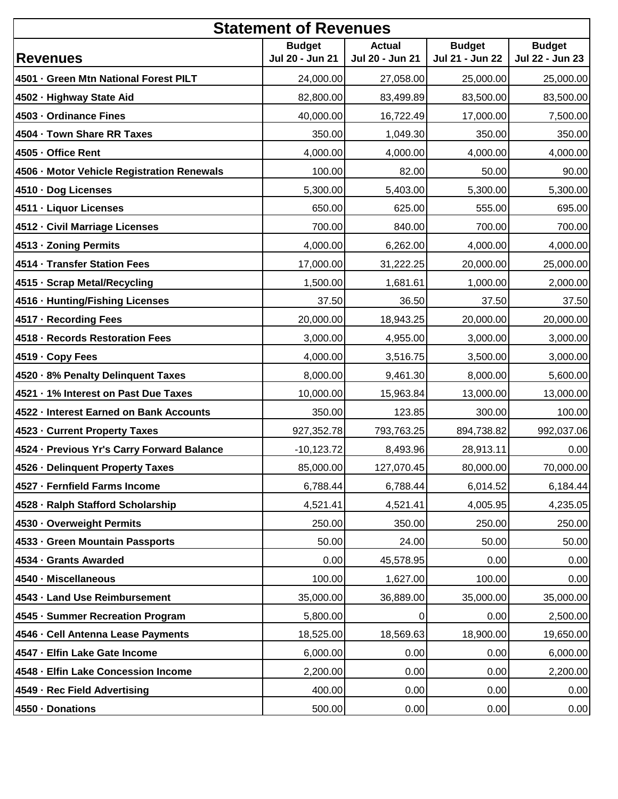| <b>Statement of Revenues</b>               |                                  |                                  |                                  |                                  |
|--------------------------------------------|----------------------------------|----------------------------------|----------------------------------|----------------------------------|
| <b>Revenues</b>                            | <b>Budget</b><br>Jul 20 - Jun 21 | <b>Actual</b><br>Jul 20 - Jun 21 | <b>Budget</b><br>Jul 21 - Jun 22 | <b>Budget</b><br>Jul 22 - Jun 23 |
| 4501 - Green Mtn National Forest PILT      | 24,000.00                        | 27,058.00                        | 25,000.00                        | 25,000.00                        |
| 4502 · Highway State Aid                   | 82,800.00                        | 83,499.89                        | 83,500.00                        | 83,500.00                        |
| 4503 - Ordinance Fines                     | 40,000.00                        | 16,722.49                        | 17,000.00                        | 7,500.00                         |
| 4504 - Town Share RR Taxes                 | 350.00                           | 1,049.30                         | 350.00                           | 350.00                           |
| 4505 - Office Rent                         | 4,000.00                         | 4,000.00                         | 4,000.00                         | 4,000.00                         |
| 4506 - Motor Vehicle Registration Renewals | 100.00                           | 82.00                            | 50.00                            | 90.00                            |
| 4510 · Dog Licenses                        | 5,300.00                         | 5,403.00                         | 5,300.00                         | 5,300.00                         |
| 4511 · Liquor Licenses                     | 650.00                           | 625.00                           | 555.00                           | 695.00                           |
| 4512 - Civil Marriage Licenses             | 700.00                           | 840.00                           | 700.00                           | 700.00                           |
| 4513 - Zoning Permits                      | 4,000.00                         | 6,262.00                         | 4,000.00                         | 4,000.00                         |
| 4514 · Transfer Station Fees               | 17,000.00                        | 31,222.25                        | 20,000.00                        | 25,000.00                        |
| 4515 · Scrap Metal/Recycling               | 1,500.00                         | 1,681.61                         | 1,000.00                         | 2,000.00                         |
| 4516 · Hunting/Fishing Licenses            | 37.50                            | 36.50                            | 37.50                            | 37.50                            |
| 4517 · Recording Fees                      | 20,000.00                        | 18,943.25                        | 20,000.00                        | 20,000.00                        |
| 4518 - Records Restoration Fees            | 3,000.00                         | 4,955.00                         | 3,000.00                         | 3,000.00                         |
| 4519 · Copy Fees                           | 4,000.00                         | 3,516.75                         | 3,500.00                         | 3,000.00                         |
| 4520 · 8% Penalty Delinquent Taxes         | 8,000.00                         | 9,461.30                         | 8,000.00                         | 5,600.00                         |
| 4521 · 1% Interest on Past Due Taxes       | 10,000.00                        | 15,963.84                        | 13,000.00                        | 13,000.00                        |
| 4522 - Interest Earned on Bank Accounts    | 350.00                           | 123.85                           | 300.00                           | 100.00                           |
| 4523 - Current Property Taxes              | 927,352.78                       | 793,763.25                       | 894,738.82                       | 992,037.06                       |
| 4524 · Previous Yr's Carry Forward Balance | $-10,123.72$                     | 8,493.96                         | 28,913.11                        | 0.00                             |
| 4526 - Delinquent Property Taxes           | 85,000.00                        | 127,070.45                       | 80,000.00                        | 70,000.00                        |
| 4527 - Fernfield Farms Income              | 6,788.44                         | 6,788.44                         | 6,014.52                         | 6,184.44                         |
| 4528 - Ralph Stafford Scholarship          | 4,521.41                         | 4,521.41                         | 4,005.95                         | 4,235.05                         |
| 4530 - Overweight Permits                  | 250.00                           | 350.00                           | 250.00                           | 250.00                           |
| 4533 - Green Mountain Passports            | 50.00                            | 24.00                            | 50.00                            | 50.00                            |
| 4534 - Grants Awarded                      | 0.00                             | 45,578.95                        | 0.00                             | 0.00                             |
| 4540 - Miscellaneous                       | 100.00                           | 1,627.00                         | 100.00                           | 0.00                             |
| 4543 - Land Use Reimbursement              | 35,000.00                        | 36,889.00                        | 35,000.00                        | 35,000.00                        |
| 4545 · Summer Recreation Program           | 5,800.00                         | 0                                | 0.00                             | 2,500.00                         |
| 4546 - Cell Antenna Lease Payments         | 18,525.00                        | 18,569.63                        | 18,900.00                        | 19,650.00                        |
| 4547 - Elfin Lake Gate Income              | 6,000.00                         | 0.00                             | 0.00                             | 6,000.00                         |
| 4548 · Elfin Lake Concession Income        | 2,200.00                         | 0.00                             | 0.00                             | 2,200.00                         |
| 4549 - Rec Field Advertising               | 400.00                           | 0.00                             | 0.00                             | 0.00                             |
| 4550 - Donations                           | 500.00                           | 0.00                             | 0.00                             | 0.00                             |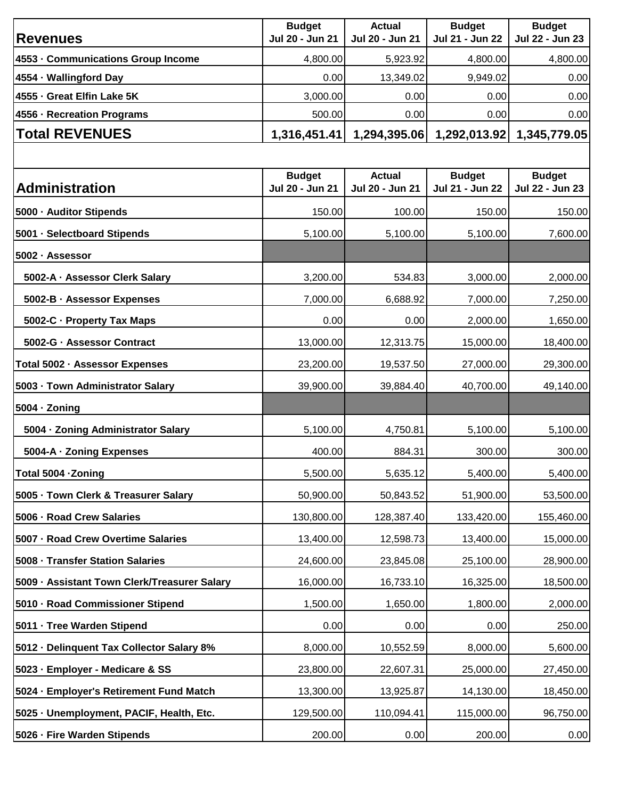|                                              | <b>Budget</b>                    | Actual                           | <b>Budget</b>                    | <b>Budget</b>                    |
|----------------------------------------------|----------------------------------|----------------------------------|----------------------------------|----------------------------------|
| <b>Revenues</b>                              | Jul 20 - Jun 21                  | Jul 20 - Jun 21                  | Jul 21 - Jun 22                  | Jul 22 - Jun 23                  |
| 4553 - Communications Group Income           | 4,800.00                         | 5,923.92                         | 4,800.00                         | 4,800.00                         |
| 4554 - Wallingford Day                       | 0.00                             | 13,349.02                        | 9,949.02                         | 0.00                             |
| 4555 - Great Elfin Lake 5K                   | 3,000.00                         | 0.00                             | 0.00                             | 0.00                             |
| 4556 - Recreation Programs                   | 500.00                           | 0.00                             | 0.00                             | 0.00                             |
| <b>Total REVENUES</b>                        | 1,316,451.41                     | 1,294,395.06                     | 1,292,013.92                     | 1,345,779.05                     |
|                                              |                                  |                                  |                                  |                                  |
| <b>Administration</b>                        | <b>Budget</b><br>Jul 20 - Jun 21 | <b>Actual</b><br>Jul 20 - Jun 21 | <b>Budget</b><br>Jul 21 - Jun 22 | <b>Budget</b><br>Jul 22 - Jun 23 |
| 5000 - Auditor Stipends                      | 150.00                           | 100.00                           | 150.00                           | 150.00                           |
| 5001 - Selectboard Stipends                  | 5,100.00                         | 5,100.00                         | 5,100.00                         | 7,600.00                         |
| 5002 · Assessor                              |                                  |                                  |                                  |                                  |
| 5002-A · Assessor Clerk Salary               | 3,200.00                         | 534.83                           | 3,000.00                         | 2,000.00                         |
| 5002-B · Assessor Expenses                   | 7,000.00                         | 6,688.92                         | 7,000.00                         | 7,250.00                         |
| 5002-C · Property Tax Maps                   | 0.00                             | 0.00                             | 2,000.00                         | 1,650.00                         |
| 5002-G · Assessor Contract                   | 13,000.00                        | 12,313.75                        | 15,000.00                        | 18,400.00                        |
| Total 5002 · Assessor Expenses               | 23,200.00                        | 19,537.50                        | 27,000.00                        | 29,300.00                        |
| 5003 · Town Administrator Salary             | 39,900.00                        | 39,884.40                        | 40,700.00                        | 49,140.00                        |
| 5004 · Zoning                                |                                  |                                  |                                  |                                  |
| 5004 · Zoning Administrator Salary           | 5,100.00                         | 4,750.81                         | 5,100.00                         | 5,100.00                         |
| 5004-A · Zoning Expenses                     | 400.00                           | 884.31                           | 300.00                           | 300.00                           |
| Total 5004 - Zoning                          | 5,500.00                         | 5,635.12                         | 5,400.00                         | 5,400.00                         |
| 5005 · Town Clerk & Treasurer Salary         | 50,900.00                        | 50,843.52                        | 51,900.00                        | 53,500.00                        |
| 5006 - Road Crew Salaries                    | 130,800.00                       | 128,387.40                       | 133,420.00                       | 155,460.00                       |
| 5007 - Road Crew Overtime Salaries           | 13,400.00                        | 12,598.73                        | 13,400.00                        | 15,000.00                        |
| 5008 - Transfer Station Salaries             | 24,600.00                        | 23,845.08                        | 25,100.00                        | 28,900.00                        |
| 5009 · Assistant Town Clerk/Treasurer Salary | 16,000.00                        | 16,733.10                        | 16,325.00                        | 18,500.00                        |
| 5010 · Road Commissioner Stipend             | 1,500.00                         | 1,650.00                         | 1,800.00                         | 2,000.00                         |
| 5011 · Tree Warden Stipend                   | 0.00                             | 0.00                             | 0.00                             | 250.00                           |
| 5012 - Delinquent Tax Collector Salary 8%    | 8,000.00                         | 10,552.59                        | 8,000.00                         | 5,600.00                         |
| 5023 - Employer - Medicare & SS              | 23,800.00                        | 22,607.31                        | 25,000.00                        | 27,450.00                        |
| 5024 - Employer's Retirement Fund Match      | 13,300.00                        | 13,925.87                        | 14,130.00                        | 18,450.00                        |
| 5025 · Unemployment, PACIF, Health, Etc.     | 129,500.00                       | 110,094.41                       | 115,000.00                       | 96,750.00                        |
| 5026 · Fire Warden Stipends                  | 200.00                           | 0.00                             | 200.00                           | 0.00                             |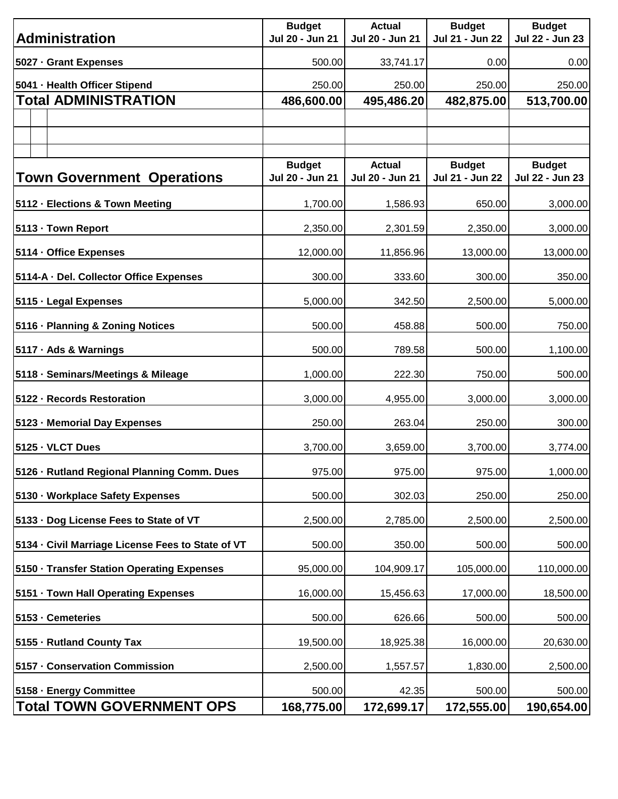| <b>Administration</b>                             | <b>Budget</b><br>Jul 20 - Jun 21 | <b>Actual</b><br>Jul 20 - Jun 21 | <b>Budget</b><br>Jul 21 - Jun 22 | <b>Budget</b><br>Jul 22 - Jun 23 |
|---------------------------------------------------|----------------------------------|----------------------------------|----------------------------------|----------------------------------|
|                                                   |                                  |                                  |                                  |                                  |
| 5027 - Grant Expenses                             | 500.00                           | 33,741.17                        | 0.00                             | 0.00                             |
| 5041 - Health Officer Stipend                     | 250.00                           | 250.00                           | 250.00                           | 250.00                           |
| <b>Total ADMINISTRATION</b>                       | 486,600.00                       | 495,486.20                       | 482,875.00                       | 513,700.00                       |
|                                                   |                                  |                                  |                                  |                                  |
|                                                   |                                  |                                  |                                  |                                  |
|                                                   | <b>Budget</b>                    | <b>Actual</b>                    | <b>Budget</b>                    | <b>Budget</b>                    |
| <b>Town Government Operations</b>                 | Jul 20 - Jun 21                  | Jul 20 - Jun 21                  | Jul 21 - Jun 22                  | Jul 22 - Jun 23                  |
| 5112 - Elections & Town Meeting                   | 1,700.00                         | 1,586.93                         | 650.00                           | 3,000.00                         |
| 5113 - Town Report                                | 2,350.00                         | 2,301.59                         | 2,350.00                         | 3,000.00                         |
| 5114 · Office Expenses                            | 12,000.00                        | 11,856.96                        | 13,000.00                        | 13,000.00                        |
| 5114-A · Del. Collector Office Expenses           | 300.00                           | 333.60                           | 300.00                           | 350.00                           |
| 5115 - Legal Expenses                             | 5,000.00                         | 342.50                           | 2,500.00                         | 5,000.00                         |
| 5116 · Planning & Zoning Notices                  | 500.00                           | 458.88                           | 500.00                           | 750.00                           |
| 5117 · Ads & Warnings                             | 500.00                           | 789.58                           | 500.00                           | 1,100.00                         |
| 5118 · Seminars/Meetings & Mileage                | 1,000.00                         | 222.30                           | 750.00                           | 500.00                           |
| 5122 - Records Restoration                        | 3,000.00                         | 4,955.00                         | 3,000.00                         | 3,000.00                         |
| 5123 · Memorial Day Expenses                      | 250.00                           | 263.04                           | 250.00                           | 300.00                           |
| 5125 - VLCT Dues                                  | 3,700.00                         | 3,659.00                         | 3,700.00                         | 3,774.00                         |
| 5126 · Rutland Regional Planning Comm. Dues       | 975.00                           | 975.00                           | 975.00                           | 1,000.00                         |
| 5130 · Workplace Safety Expenses                  | 500.00                           | 302.03                           | 250.00                           | 250.00                           |
| 5133 · Dog License Fees to State of VT            | 2,500.00                         | 2,785.00                         | 2,500.00                         | 2,500.00                         |
| 5134 - Civil Marriage License Fees to State of VT | 500.00                           | 350.00                           | 500.00                           | 500.00                           |
| 5150 · Transfer Station Operating Expenses        | 95,000.00                        | 104,909.17                       | 105,000.00                       | 110,000.00                       |
| 5151 · Town Hall Operating Expenses               | 16,000.00                        | 15,456.63                        | 17,000.00                        | 18,500.00                        |
| 5153 · Cemeteries                                 | 500.00                           | 626.66                           | 500.00                           | 500.00                           |
| 5155 · Rutland County Tax                         | 19,500.00                        | 18,925.38                        | 16,000.00                        | 20,630.00                        |
| 5157 - Conservation Commission                    | 2,500.00                         | 1,557.57                         | 1,830.00                         | 2,500.00                         |
| 5158 · Energy Committee                           | 500.00                           | 42.35                            | 500.00                           | 500.00                           |
| <b>Total TOWN GOVERNMENT OPS</b>                  | 168,775.00                       | 172,699.17                       | 172,555.00                       | 190,654.00                       |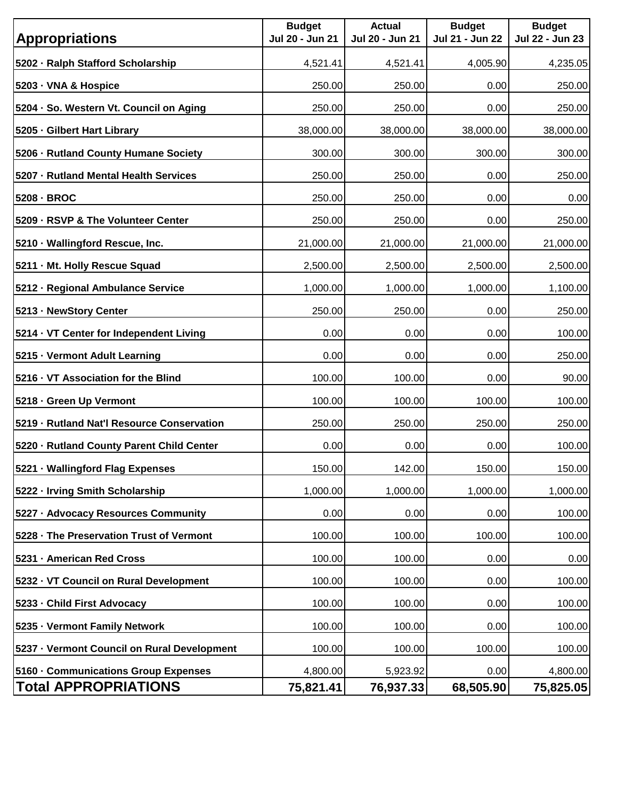| <b>Appropriations</b>                       | <b>Budget</b><br>Jul 20 - Jun 21 | <b>Actual</b><br>Jul 20 - Jun 21 | <b>Budget</b><br>Jul 21 - Jun 22 | <b>Budget</b><br>Jul 22 - Jun 23 |
|---------------------------------------------|----------------------------------|----------------------------------|----------------------------------|----------------------------------|
| 5202 · Ralph Stafford Scholarship           | 4,521.41                         | 4,521.41                         | 4,005.90                         | 4,235.05                         |
| 5203 - VNA & Hospice                        | 250.00                           | 250.00                           | 0.00                             | 250.00                           |
| 5204 · So. Western Vt. Council on Aging     | 250.00                           | 250.00                           | 0.00                             | 250.00                           |
| 5205 Gilbert Hart Library                   | 38,000.00                        | 38,000.00                        | 38,000.00                        | 38,000.00                        |
| 5206 · Rutland County Humane Society        | 300.00                           | 300.00                           | 300.00                           | 300.00                           |
| 5207 - Rutland Mental Health Services       | 250.00                           | 250.00                           | 0.00                             | 250.00                           |
| 5208 - BROC                                 | 250.00                           | 250.00                           | 0.00                             | 0.00                             |
| 5209 - RSVP & The Volunteer Center          | 250.00                           | 250.00                           | 0.00                             | 250.00                           |
| 5210 · Wallingford Rescue, Inc.             | 21,000.00                        | 21,000.00                        | 21,000.00                        | 21,000.00                        |
| 5211 - Mt. Holly Rescue Squad               | 2,500.00                         | 2,500.00                         | 2,500.00                         | 2,500.00                         |
| 5212 - Regional Ambulance Service           | 1,000.00                         | 1,000.00                         | 1,000.00                         | 1,100.00                         |
| 5213 - NewStory Center                      | 250.00                           | 250.00                           | 0.00                             | 250.00                           |
| 5214 · VT Center for Independent Living     | 0.00                             | 0.00                             | 0.00                             | 100.00                           |
| 5215 · Vermont Adult Learning               | 0.00                             | 0.00                             | 0.00                             | 250.00                           |
| 5216 · VT Association for the Blind         | 100.00                           | 100.00                           | 0.00                             | 90.00                            |
| 5218 - Green Up Vermont                     | 100.00                           | 100.00                           | 100.00                           | 100.00                           |
| 5219 - Rutland Nat'l Resource Conservation  | 250.00                           | 250.00                           | 250.00                           | 250.00                           |
| 5220 - Rutland County Parent Child Center   | 0.00                             | 0.00                             | 0.00                             | 100.00                           |
| 5221 · Wallingford Flag Expenses            | 150.00                           | 142.00                           | 150.00                           | 150.00                           |
| 5222 · Irving Smith Scholarship             | 1,000.00                         | 1,000.00                         | 1,000.00                         | 1,000.00                         |
| 5227 · Advocacy Resources Community         | 0.00                             | 0.00                             | 0.00                             | 100.00                           |
| 5228 · The Preservation Trust of Vermont    | 100.00                           | 100.00                           | 100.00                           | 100.00                           |
| 5231 - American Red Cross                   | 100.00                           | 100.00                           | 0.00                             | 0.00                             |
| 5232 · VT Council on Rural Development      | 100.00                           | 100.00                           | 0.00                             | 100.00                           |
| 5233 - Child First Advocacy                 | 100.00                           | 100.00                           | 0.00                             | 100.00                           |
| 5235 · Vermont Family Network               | 100.00                           | 100.00                           | 0.00                             | 100.00                           |
| 5237 · Vermont Council on Rural Development | 100.00                           | 100.00                           | 100.00                           | 100.00                           |
| 5160 · Communications Group Expenses        | 4,800.00                         | 5,923.92                         | 0.00                             | 4,800.00                         |
| <b>Total APPROPRIATIONS</b>                 | 75,821.41                        | 76,937.33                        | 68,505.90                        | 75,825.05                        |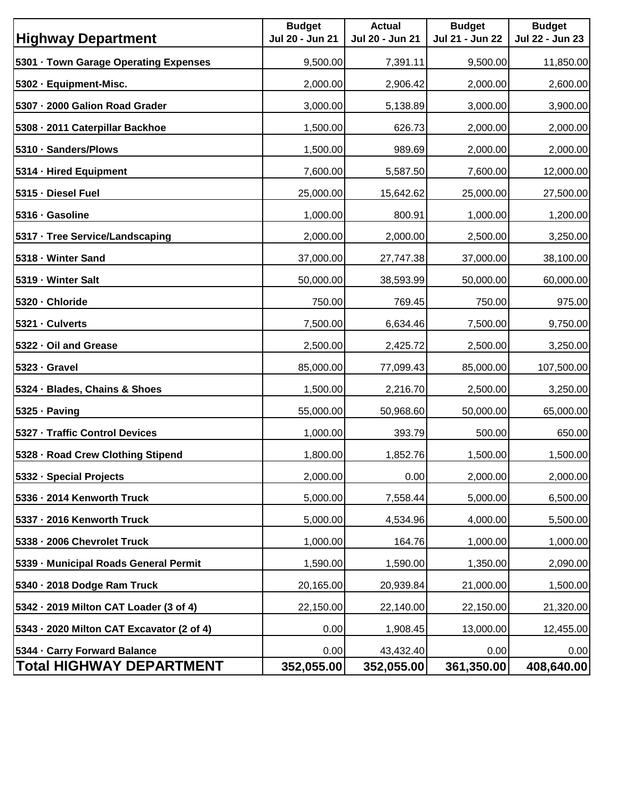| <b>Highway Department</b>                                       | <b>Budget</b><br>Jul 20 - Jun 21 | <b>Actual</b><br>Jul 20 - Jun 21 | <b>Budget</b><br>Jul 21 - Jun 22 | <b>Budget</b><br>Jul 22 - Jun 23 |
|-----------------------------------------------------------------|----------------------------------|----------------------------------|----------------------------------|----------------------------------|
| 5301 · Town Garage Operating Expenses                           | 9,500.00                         | 7,391.11                         | 9,500.00                         | 11,850.00                        |
| 5302 - Equipment-Misc.                                          | 2,000.00                         | 2,906.42                         | 2,000.00                         | 2,600.00                         |
| 5307 - 2000 Galion Road Grader                                  | 3,000.00                         | 5,138.89                         | 3,000.00                         | 3,900.00                         |
| 5308 · 2011 Caterpillar Backhoe                                 | 1,500.00                         | 626.73                           | 2,000.00                         | 2,000.00                         |
| 5310 · Sanders/Plows                                            | 1,500.00                         | 989.69                           | 2,000.00                         | 2,000.00                         |
| 5314 - Hired Equipment                                          | 7,600.00                         | 5,587.50                         | 7,600.00                         | 12,000.00                        |
| 5315 · Diesel Fuel                                              | 25,000.00                        | 15,642.62                        | 25,000.00                        | 27,500.00                        |
| 5316 · Gasoline                                                 | 1,000.00                         | 800.91                           | 1,000.00                         | 1,200.00                         |
| 5317 · Tree Service/Landscaping                                 | 2,000.00                         | 2,000.00                         | 2,500.00                         | 3,250.00                         |
| 5318 - Winter Sand                                              | 37,000.00                        | 27,747.38                        | 37,000.00                        | 38,100.00                        |
| 5319 - Winter Salt                                              | 50,000.00                        | 38,593.99                        | 50,000.00                        | 60,000.00                        |
| 5320 · Chloride                                                 | 750.00                           | 769.45                           | 750.00                           | 975.00                           |
| 5321 · Culverts                                                 | 7,500.00                         | 6,634.46                         | 7,500.00                         | 9,750.00                         |
| 5322 · Oil and Grease                                           | 2,500.00                         | 2,425.72                         | 2,500.00                         | 3,250.00                         |
| 5323 · Gravel                                                   | 85,000.00                        | 77,099.43                        | 85,000.00                        | 107,500.00                       |
| 5324 · Blades, Chains & Shoes                                   | 1,500.00                         | 2,216.70                         | 2,500.00                         | 3,250.00                         |
| 5325 · Paving                                                   | 55,000.00                        | 50,968.60                        | 50,000.00                        | 65,000.00                        |
| 5327 - Traffic Control Devices                                  | 1,000.00                         | 393.79                           | 500.00                           | 650.00                           |
| 5328 - Road Crew Clothing Stipend                               | 1,800.00                         | 1,852.76                         | 1,500.00                         | 1,500.00                         |
| 5332 - Special Projects                                         | 2,000.00                         | 0.00                             | 2,000.00                         | 2,000.00                         |
| 5336 - 2014 Kenworth Truck                                      | 5,000.00                         | 7,558.44                         | 5,000.00                         | 6,500.00                         |
| 5337 - 2016 Kenworth Truck                                      | 5,000.00                         | 4,534.96                         | 4,000.00                         | 5,500.00                         |
| 5338 - 2006 Chevrolet Truck                                     | 1,000.00                         | 164.76                           | 1,000.00                         | 1,000.00                         |
| 5339 - Municipal Roads General Permit                           | 1,590.00                         | 1,590.00                         | 1,350.00                         | 2,090.00                         |
| 5340 · 2018 Dodge Ram Truck                                     | 20,165.00                        | 20,939.84                        | 21,000.00                        | 1,500.00                         |
| 5342 · 2019 Milton CAT Loader (3 of 4)                          | 22,150.00                        | 22,140.00                        | 22,150.00                        | 21,320.00                        |
| 5343 · 2020 Milton CAT Excavator (2 of 4)                       | 0.00                             | 1,908.45                         | 13,000.00                        | 12,455.00                        |
| 5344 - Carry Forward Balance<br><b>Total HIGHWAY DEPARTMENT</b> | 0.00                             | 43, 432. 40                      | 0.00                             | 0.00                             |
|                                                                 | 352,055.00                       | 352,055.00                       | 361,350.00                       | 408,640.00                       |